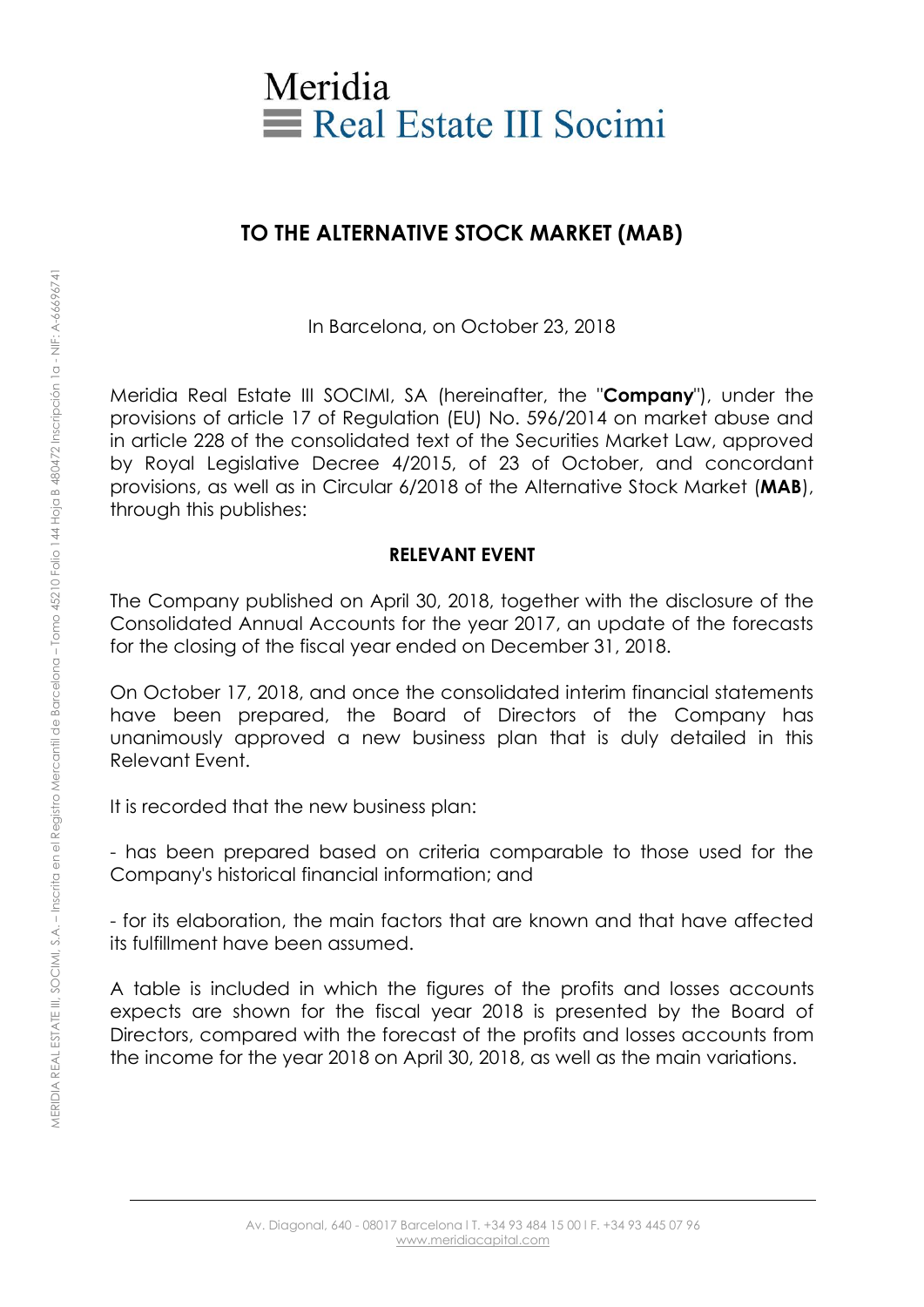

## **TO THE ALTERNATIVE STOCK MARKET (MAB)**

In Barcelona, on October 23, 2018

Meridia Real Estate III SOCIMI, SA (hereinafter, the "**Company**"), under the provisions of article 17 of Regulation (EU) No. 596/2014 on market abuse and in article 228 of the consolidated text of the Securities Market Law, approved by Royal Legislative Decree 4/2015, of 23 of October, and concordant provisions, as well as in Circular 6/2018 of the Alternative Stock Market (**MAB**), through this publishes:

## **RELEVANT EVENT**

The Company published on April 30, 2018, together with the disclosure of the Consolidated Annual Accounts for the year 2017, an update of the forecasts for the closing of the fiscal year ended on December 31, 2018.

On October 17, 2018, and once the consolidated interim financial statements have been prepared, the Board of Directors of the Company has unanimously approved a new business plan that is duly detailed in this Relevant Event.

It is recorded that the new business plan:

- has been prepared based on criteria comparable to those used for the Company's historical financial information; and

- for its elaboration, the main factors that are known and that have affected its fulfillment have been assumed.

A table is included in which the figures of the profits and losses accounts expects are shown for the fiscal year 2018 is presented by the Board of Directors, compared with the forecast of the profits and losses accounts from the income for the year 2018 on April 30, 2018, as well as the main variations.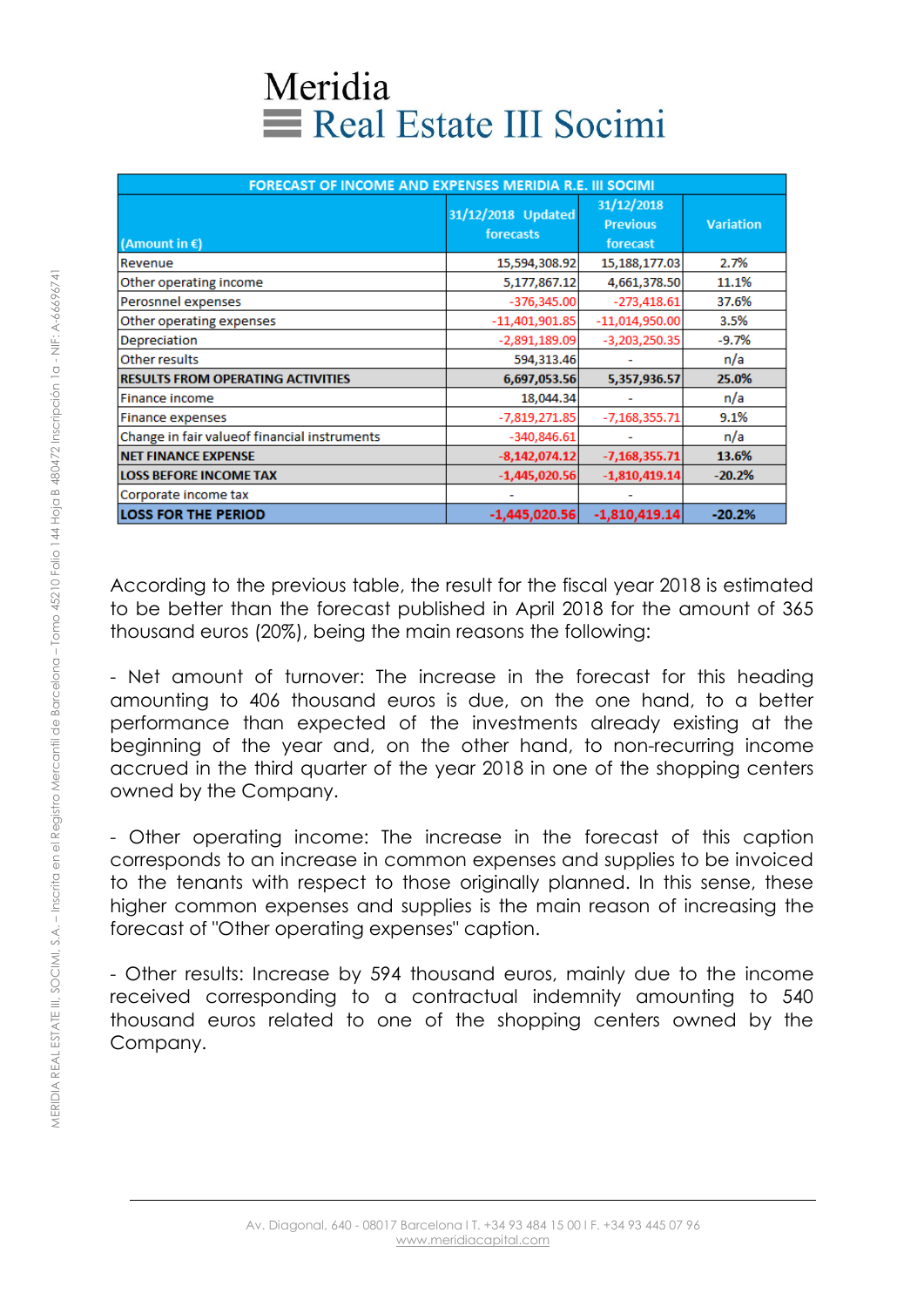## Meridia Real Estate III Socimi

| <b>FORECAST OF INCOME AND EXPENSES MERIDIA R.E. III SOCIMI</b> |                                 |                                           |                  |
|----------------------------------------------------------------|---------------------------------|-------------------------------------------|------------------|
| (Amount in $\epsilon$ )                                        | 31/12/2018 Updated<br>forecasts | 31/12/2018<br><b>Previous</b><br>forecast | <b>Variation</b> |
| Revenue                                                        | 15,594,308.92                   | 15,188,177.03                             | 2.7%             |
| Other operating income                                         | 5,177,867.12                    | 4,661,378.50                              | 11.1%            |
| Perosnnel expenses                                             | $-376,345.00$                   | $-273,418.61$                             | 37.6%            |
| Other operating expenses                                       | $-11,401,901.85$                | $-11,014,950.00$                          | 3.5%             |
| Depreciation                                                   | $-2,891,189.09$                 | $-3,203,250.35$                           | $-9.7%$          |
| Other results                                                  | 594,313.46                      |                                           | n/a              |
| <b>RESULTS FROM OPERATING ACTIVITIES</b>                       | 6,697,053.56                    | 5,357,936.57                              | 25.0%            |
| Finance income                                                 | 18,044.34                       |                                           | n/a              |
| <b>Finance expenses</b>                                        | $-7,819,271.85$                 | $-7,168,355.71$                           | 9.1%             |
| Change in fair value of financial instruments                  | $-340,846.61$                   |                                           | n/a              |
| <b>NET FINANCE EXPENSE</b>                                     | $-8,142,074.12$                 | $-7,168,355.71$                           | 13.6%            |
| <b>LOSS BEFORE INCOME TAX</b>                                  | $-1,445,020.56$                 | $-1,810,419.14$                           | $-20.2%$         |
| Corporate income tax                                           |                                 |                                           |                  |
| <b>LOSS FOR THE PERIOD</b>                                     | $-1,445,020.56$                 | $-1,810,419.14$                           | $-20.2%$         |

According to the previous table, the result for the fiscal year 2018 is estimated to be better than the forecast published in April 2018 for the amount of 365 thousand euros (20%), being the main reasons the following:

- Net amount of turnover: The increase in the forecast for this heading amounting to 406 thousand euros is due, on the one hand, to a better performance than expected of the investments already existing at the beginning of the year and, on the other hand, to non-recurring income accrued in the third quarter of the year 2018 in one of the shopping centers owned by the Company.

- Other operating income: The increase in the forecast of this caption corresponds to an increase in common expenses and supplies to be invoiced to the tenants with respect to those originally planned. In this sense, these higher common expenses and supplies is the main reason of increasing the forecast of "Other operating expenses" caption.

- Other results: Increase by 594 thousand euros, mainly due to the income received corresponding to a contractual indemnity amounting to 540 thousand euros related to one of the shopping centers owned by the Company.